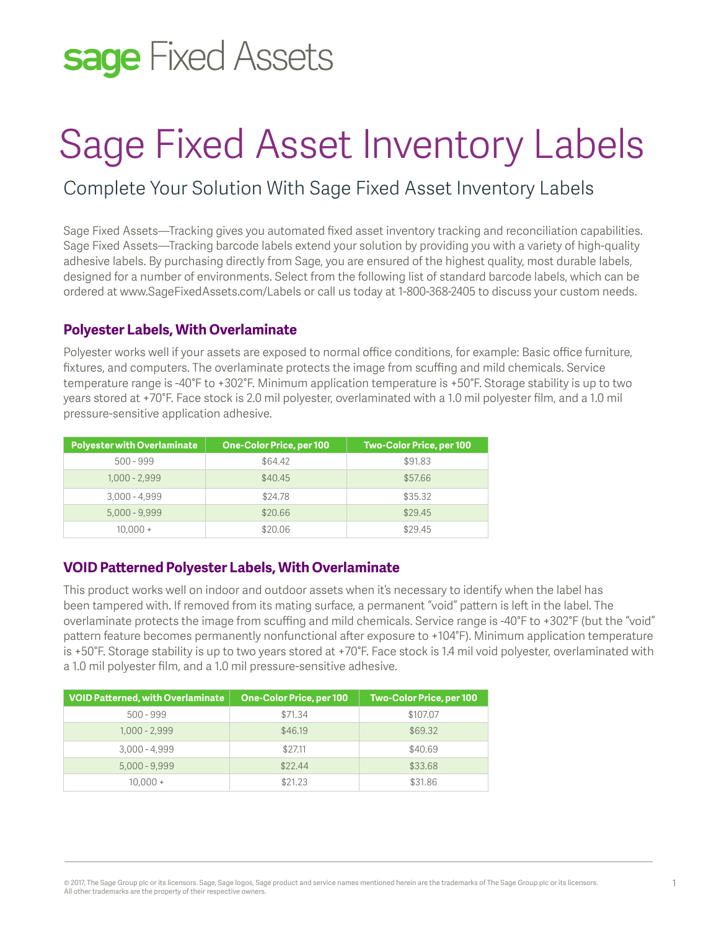## sage Fixed Assets

# Sage Fixed Asset Inventory Labels

### Complete Your Solution With Sage Fixed Asset Inventory Labels

Sage Fixed Assets—Tracking gives you automated fixed asset inventory tracking and reconciliation capabilities. Sage Fixed Assets—Tracking barcode labels extend your solution by providing you with a variety of high-quality adhesive labels. By purchasing directly from Sage, you are ensured of the highest quality, most durable labels, designed for a number of environments. Select from the following list of standard barcode labels, which can be ordered at www.SageFixedAssets.com/Labels or call us today at 1-800-368-2405 to discuss your custom needs.

#### **Polyester Labels, With Overlaminate**

Polyester works well if your assets are exposed to normal office conditions, for example: Basic office furniture, fixtures, and computers. The overlaminate protects the image from scuffing and mild chemicals. Service temperature range is -40°F to +302°F. Minimum application temperature is +50°F. Storage stability is up to two years stored at +70°F. Face stock is 2.0 mil polyester, overlaminated with a 1.0 mil polyester film, and a 1.0 mil pressure-sensitive application adhesive.

| <b>Polyester with Overlaminate</b> | One-Color Price, per 100 | <b>Two-Color Price, per 100</b> |  |
|------------------------------------|--------------------------|---------------------------------|--|
| $500 - 999$                        | \$64.42                  | \$91.83                         |  |
| $1.000 - 2.999$                    | \$40.45                  | \$57.66                         |  |
| $3.000 - 4.999$                    | \$24.78                  | \$35.32                         |  |
| $5,000 - 9,999$                    | \$20.66                  | \$29.45                         |  |
| $10.000 +$                         | \$20.06                  | \$29.45                         |  |

#### **VOID Patterned Polyester Labels, With Overlaminate**

This product works well on indoor and outdoor assets when it's necessary to identify when the label has been tampered with. If removed from its mating surface, a permanent "void" pattern is left in the label. The overlaminate protects the image from scuffing and mild chemicals. Service range is -40°F to +302°F (but the "void" pattern feature becomes permanently nonfunctional after exposure to +104°F). Minimum application temperature is +50°F. Storage stability is up to two years stored at +70°F. Face stock is 1.4 mil void polyester, overlaminated with a 1.0 mil polyester film, and a 1.0 mil pressure-sensitive adhesive.

| <b>VOID Patterned, with Overlaminate</b> | One-Color Price, per 100 | <b>Two-Color Price, per 100</b> |
|------------------------------------------|--------------------------|---------------------------------|
| $500 - 999$                              | \$71.34                  | \$107.07                        |
| $1,000 - 2,999$                          | \$46.19                  | \$69.32                         |
| $3,000 - 4,999$                          | \$27.11                  | \$40.69                         |
| $5,000 - 9,999$                          | \$22.44                  | \$33.68                         |
| $10.000 +$                               | \$21.23                  | \$31.86                         |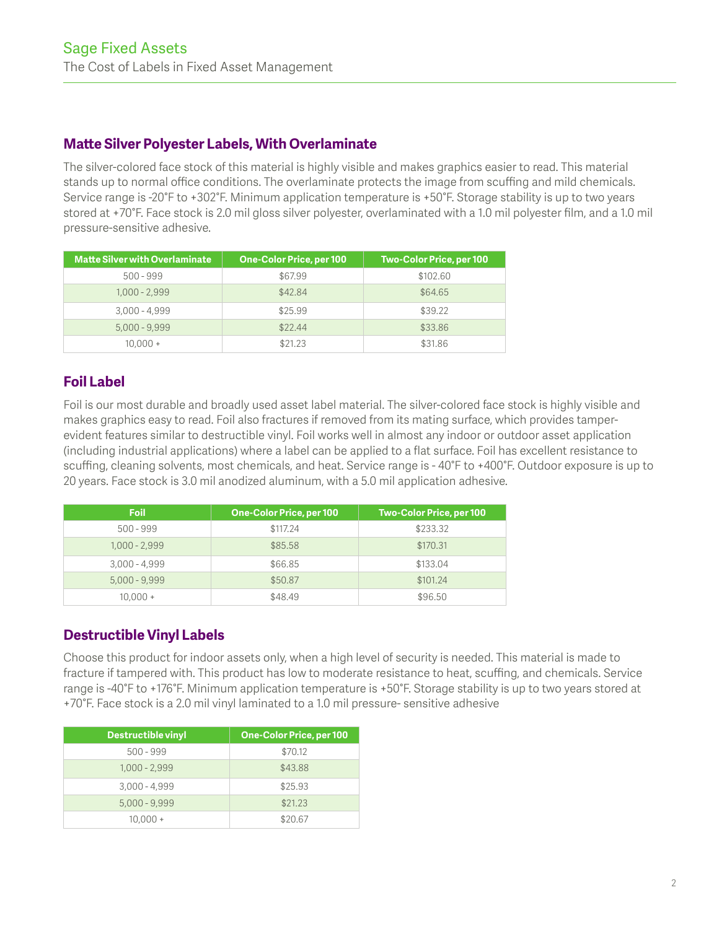#### **Matte Silver Polyester Labels, With Overlaminate**

The silver-colored face stock of this material is highly visible and makes graphics easier to read. This material stands up to normal office conditions. The overlaminate protects the image from scuffing and mild chemicals. Service range is -20°F to +302°F. Minimum application temperature is +50°F. Storage stability is up to two years stored at +70°F. Face stock is 2.0 mil gloss silver polyester, overlaminated with a 1.0 mil polyester film, and a 1.0 mil pressure-sensitive adhesive.

| <b>Matte Silver with Overlaminate</b> | One-Color Price, per 100 | Two-Color Price, per 100 |
|---------------------------------------|--------------------------|--------------------------|
| $500 - 999$                           | \$67.99                  | \$102.60                 |
| $1.000 - 2.999$                       | \$42.84                  | \$64.65                  |
| $3,000 - 4,999$                       | \$25.99                  | \$39.22                  |
| $5,000 - 9,999$                       | \$22.44                  | \$33.86                  |
| $10.000 +$                            | \$21.23                  | \$31.86                  |

#### **Foil Label**

Foil is our most durable and broadly used asset label material. The silver-colored face stock is highly visible and makes graphics easy to read. Foil also fractures if removed from its mating surface, which provides tamperevident features similar to destructible vinyl. Foil works well in almost any indoor or outdoor asset application (including industrial applications) where a label can be applied to a flat surface. Foil has excellent resistance to scuffing, cleaning solvents, most chemicals, and heat. Service range is - 40°F to +400°F. Outdoor exposure is up to 20 years. Face stock is 3.0 mil anodized aluminum, with a 5.0 mil application adhesive.

| Foil            | One-Color Price, per 100 | <b>Two-Color Price, per 100</b> |
|-----------------|--------------------------|---------------------------------|
| $500 - 999$     | \$117.24                 | \$233.32                        |
| $1,000 - 2,999$ | \$85.58                  | \$170.31                        |
| $3,000 - 4,999$ | \$66.85                  | \$133.04                        |
| $5,000 - 9,999$ | \$50.87                  | \$101.24                        |
| $10.000 +$      | \$48.49                  | \$96.50                         |

#### **Destructible Vinyl Labels**

Choose this product for indoor assets only, when a high level of security is needed. This material is made to fracture if tampered with. This product has low to moderate resistance to heat, scuffing, and chemicals. Service range is -40°F to +176°F. Minimum application temperature is +50°F. Storage stability is up to two years stored at +70°F. Face stock is a 2.0 mil vinyl laminated to a 1.0 mil pressure- sensitive adhesive

| Destructible vinyl | <b>One-Color Price, per 100</b> |  |  |
|--------------------|---------------------------------|--|--|
| $500 - 999$        | \$70.12                         |  |  |
| $1,000 - 2,999$    | \$43.88                         |  |  |
| $3,000 - 4,999$    | \$25.93                         |  |  |
| $5,000 - 9,999$    | \$21.23                         |  |  |
| $10.000 +$         | \$20.67                         |  |  |